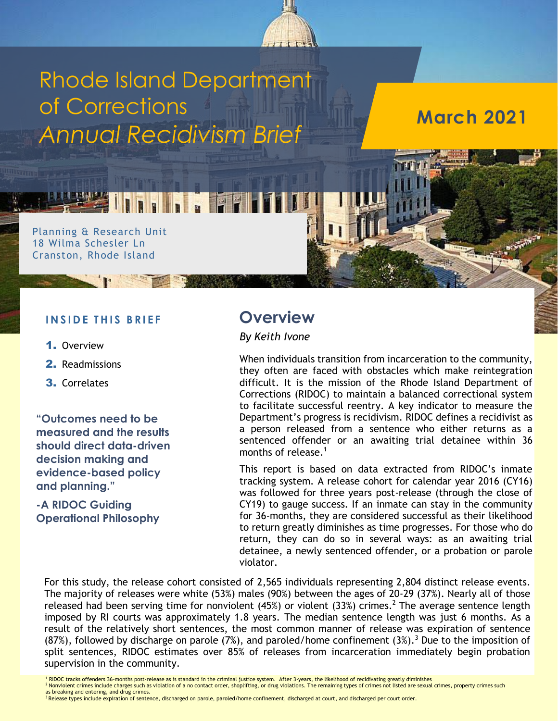

# Rhode Island Department of Corrections *Annual Recidivism Brief*

**March 2021**

Planning & Research Unit 18 Wilma Schesler Ln Cranston, Rhode Island

#### **INSIDE THIS BRIEF**

- 1. Overview
- 2. Readmissions
- 3. Correlates

**"Outcomes need to be measured and the results should direct data-driven decision making and evidence-based policy and planning."**

**-A RIDOC Guiding Operational Philosophy**

## **Overview**

*By Keith Ivone*

When individuals transition from incarceration to the community, they often are faced with obstacles which make reintegration difficult. It is the mission of the Rhode Island Department of Corrections (RIDOC) to maintain a balanced correctional system to facilitate successful reentry. A key indicator to measure the Department's progress is recidivism. RIDOC defines a recidivist as a person released from a sentence who either returns as a sentenced offender or an awaiting trial detainee within 36 months of release. 1

This report is based on data extracted from RIDOC's inmate tracking system. A release cohort for calendar year 2016 (CY16) was followed for three years post-release (through the close of CY19) to gauge success. If an inmate can stay in the community for 36-months, they are considered successful as their likelihood to return greatly diminishes as time progresses. For those who do return, they can do so in several ways: as an awaiting trial detainee, a newly sentenced offender, or a probation or parole violator.

For this study, the release cohort consisted of 2,565 individuals representing 2,804 distinct release events. The majority of releases were white (53%) males (90%) between the ages of 20-29 (37%). Nearly all of those released had been serving time for nonviolent (45%) or violent (33%) crimes.<sup>2</sup> The average sentence length imposed by RI courts was approximately 1.8 years. The median sentence length was just 6 months. As a result of the relatively short sentences, the most common manner of release was expiration of sentence (87%), followed by discharge on parole (7%), and paroled/home confinement (3%).<sup>3</sup> Due to the imposition of split sentences, RIDOC estimates over 85% of releases from incarceration immediately begin probation supervision in the community.

- <sup>1</sup> RIDOC tracks offenders 36-months post-release as is standard in the criminal justice system. After 3-years, the likelihood of recidivating greatly diminishes
- 2 Nonviolent crimes include charges such as violation of a no contact order, shoplifting, or drug violations. The remaining types of crimes not listed are sexual crimes, property crimes such as breaking and entering, and drug crimes.
- <sup>3</sup> Release types include expiration of sentence, discharged on parole, paroled/home confinement, discharged at court, and discharged per court order.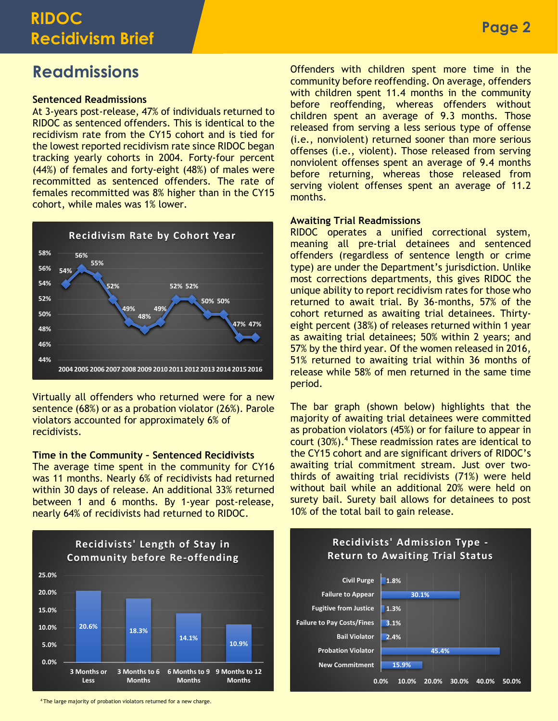# **RIDOC Recidivism Brief**

# **Readmissions**

#### **Sentenced Readmissions**

At 3-years post-release, 47% of individuals returned to RIDOC as sentenced offenders. This is identical to the recidivism rate from the CY15 cohort and is tied for the lowest reported recidivism rate since RIDOC began tracking yearly cohorts in 2004. Forty-four percent (44%) of females and forty-eight (48%) of males were recommitted as sentenced offenders. The rate of females recommitted was 8% higher than in the CY15 cohort, while males was 1% lower.



Virtually all offenders who returned were for a new sentence (68%) or as a probation violator (26%). Parole violators accounted for approximately 6% of recidivists.

#### **Time in the Community – Sentenced Recidivists**

The average time spent in the community for CY16 was 11 months. Nearly 6% of recidivists had returned within 30 days of release. An additional 33% returned between 1 and 6 months. By 1-year post-release, nearly 64% of recidivists had returned to RIDOC.



Offenders with children spent more time in the community before reoffending. On average, offenders with children spent 11.4 months in the community before reoffending, whereas offenders without children spent an average of 9.3 months. Those released from serving a less serious type of offense (i.e., nonviolent) returned sooner than more serious offenses (i.e., violent). Those released from serving nonviolent offenses spent an average of 9.4 months before returning, whereas those released from serving violent offenses spent an average of 11.2 months.

#### **Awaiting Trial Readmissions**

RIDOC operates a unified correctional system, meaning all pre-trial detainees and sentenced offenders (regardless of sentence length or crime type) are under the Department's jurisdiction. Unlike most corrections departments, this gives RIDOC the unique ability to report recidivism rates for those who returned to await trial. By 36-months, 57% of the cohort returned as awaiting trial detainees. Thirtyeight percent (38%) of releases returned within 1 year as awaiting trial detainees; 50% within 2 years; and 57% by the third year. Of the women released in 2016, 51% returned to awaiting trial within 36 months of release while 58% of men returned in the same time period.

The bar graph (shown below) highlights that the majority of awaiting trial detainees were committed as probation violators (45%) or for failure to appear in court (30%). <sup>4</sup> These readmission rates are identical to the CY15 cohort and are significant drivers of RIDOC's awaiting trial commitment stream. Just over twothirds of awaiting trial recidivists (71%) were held without bail while an additional 20% were held on surety bail. Surety bail allows for detainees to post 10% of the total bail to gain release.



4 The large majority of probation violators returned for a new charge.